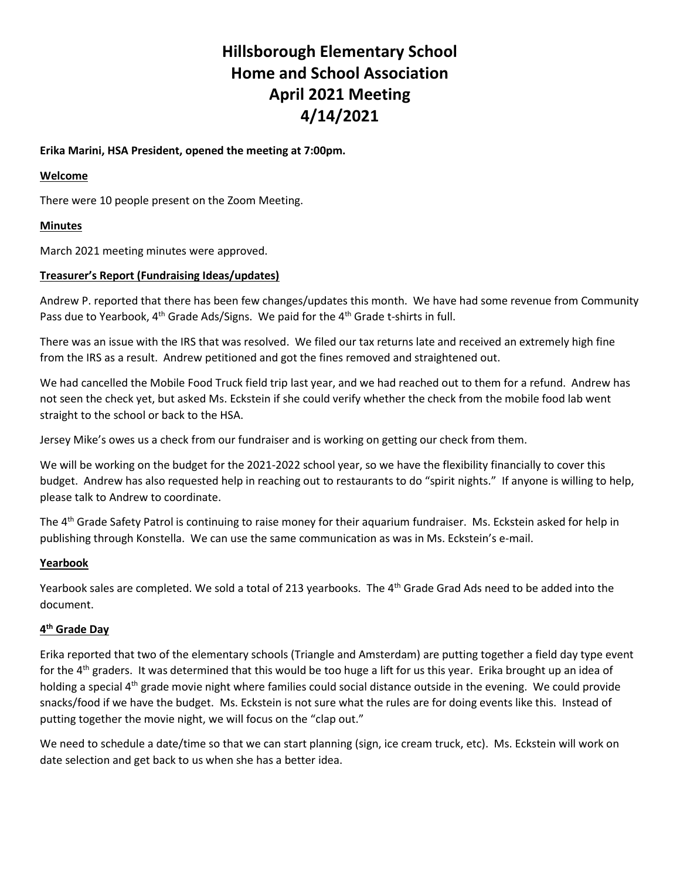# **Hillsborough Elementary School Home and School Association April 2021 Meeting 4/14/2021**

# **Erika Marini, HSA President, opened the meeting at 7:00pm.**

## **Welcome**

There were 10 people present on the Zoom Meeting.

# **Minutes**

March 2021 meeting minutes were approved.

## **Treasurer's Report (Fundraising Ideas/updates)**

Andrew P. reported that there has been few changes/updates this month. We have had some revenue from Community Pass due to Yearbook,  $4<sup>th</sup>$  Grade Ads/Signs. We paid for the  $4<sup>th</sup>$  Grade t-shirts in full.

There was an issue with the IRS that was resolved. We filed our tax returns late and received an extremely high fine from the IRS as a result. Andrew petitioned and got the fines removed and straightened out.

We had cancelled the Mobile Food Truck field trip last year, and we had reached out to them for a refund. Andrew has not seen the check yet, but asked Ms. Eckstein if she could verify whether the check from the mobile food lab went straight to the school or back to the HSA.

Jersey Mike's owes us a check from our fundraiser and is working on getting our check from them.

We will be working on the budget for the 2021-2022 school year, so we have the flexibility financially to cover this budget. Andrew has also requested help in reaching out to restaurants to do "spirit nights." If anyone is willing to help, please talk to Andrew to coordinate.

The 4<sup>th</sup> Grade Safety Patrol is continuing to raise money for their aquarium fundraiser. Ms. Eckstein asked for help in publishing through Konstella. We can use the same communication as was in Ms. Eckstein's e-mail.

#### **Yearbook**

Yearbook sales are completed. We sold a total of 213 yearbooks. The 4<sup>th</sup> Grade Grad Ads need to be added into the document.

# **4 th Grade Day**

Erika reported that two of the elementary schools (Triangle and Amsterdam) are putting together a field day type event for the 4<sup>th</sup> graders. It was determined that this would be too huge a lift for us this year. Erika brought up an idea of holding a special 4<sup>th</sup> grade movie night where families could social distance outside in the evening. We could provide snacks/food if we have the budget. Ms. Eckstein is not sure what the rules are for doing events like this. Instead of putting together the movie night, we will focus on the "clap out."

We need to schedule a date/time so that we can start planning (sign, ice cream truck, etc). Ms. Eckstein will work on date selection and get back to us when she has a better idea.